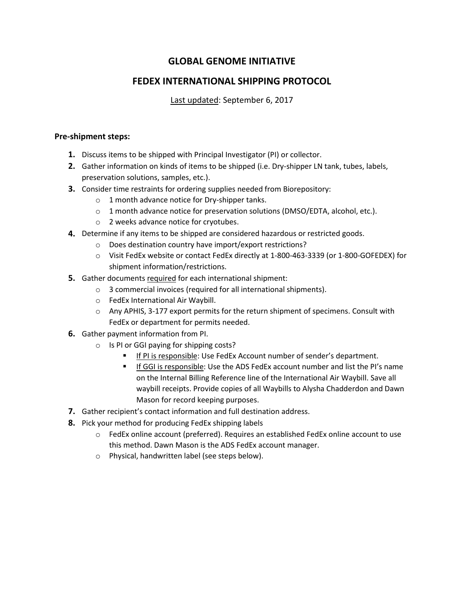# **GLOBAL GENOME INITIATIVE**

## **FEDEX INTERNATIONAL SHIPPING PROTOCOL**

Last updated: September 6, 2017

## **Pre-shipment steps:**

- **1.** Discuss items to be shipped with Principal Investigator (PI) or collector.
- **2.** Gather information on kinds of items to be shipped (i.e. Dry-shipper LN tank, tubes, labels, preservation solutions, samples, etc.).
- **3.** Consider time restraints for ordering supplies needed from Biorepository:
	- o 1 month advance notice for Dry-shipper tanks.
	- o 1 month advance notice for preservation solutions (DMSO/EDTA, alcohol, etc.).
	- o 2 weeks advance notice for cryotubes.
- **4.** Determine if any items to be shipped are considered hazardous or restricted goods.
	- o Does destination country have import/export restrictions?
	- o Visit FedEx website or contact FedEx directly at 1-800-463-3339 (or 1-800-GOFEDEX) for shipment information/restrictions.
- **5.** Gather documents required for each international shipment:
	- o 3 commercial invoices (required for all international shipments).
	- o FedEx International Air Waybill.
	- $\circ$  Any APHIS, 3-177 export permits for the return shipment of specimens. Consult with FedEx or department for permits needed.
- **6.** Gather payment information from PI.
	- o Is PI or GGI paying for shipping costs?
		- If PI is responsible: Use FedEx Account number of sender's department.
		- If GGI is responsible: Use the ADS FedEx account number and list the PI's name on the Internal Billing Reference line of the International Air Waybill. Save all waybill receipts. Provide copies of all Waybills to Alysha Chadderdon and Dawn Mason for record keeping purposes.
- **7.** Gather recipient's contact information and full destination address.
- **8.** Pick your method for producing FedEx shipping labels
	- $\circ$  FedEx online account (preferred). Requires an established FedEx online account to use this method. Dawn Mason is the ADS FedEx account manager.
	- o Physical, handwritten label (see steps below).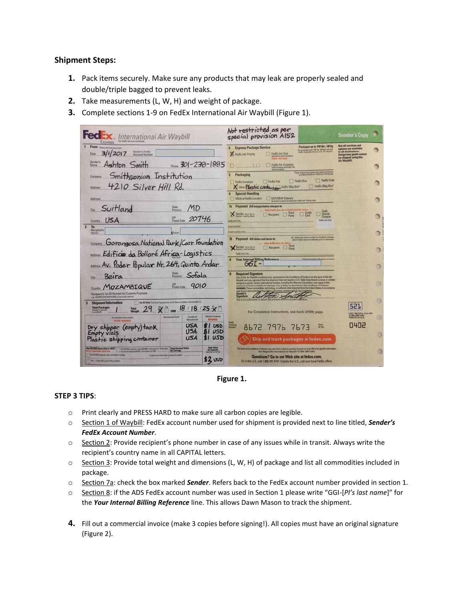### **Shipment Steps:**

- 1. Pack items securely. Make sure any products that may leak are properly sealed and double/triple bagged to prevent leaks.
- 2. Take measurements (L, W, H) and weight of package.
- 3. Complete sections 1-9 on FedEx International Air Waybill (Figure 1).



Figure 1.

### **STEP 3 TIPS:**

- Print clearly and PRESS HARD to make sure all carbon copies are legible.  $\circ$
- Section 1 of Waybill: FedEx account number used for shipment is provided next to line titled, Sender's  $\circ$ **FedEx Account Number.**
- Section 2: Provide recipient's phone number in case of any issues while in transit. Always write the recipient's country name in all CAPITAL letters.
- Section 3: Provide total weight and dimensions (L, W, H) of package and list all commodities included in  $\circ$ package.
- Section 7a: check the box marked Sender. Refers back to the FedEx account number provided in section 1.
- Section 8: if the ADS FedEx account number was used in Section 1 please write "GGI-[PI's last name]" for  $\circ$ the Your Internal Billing Reference line. This allows Dawn Mason to track the shipment.
- 4. Fill out a commercial invoice (make 3 copies before signing!). All copies must have an original signature (Figure 2).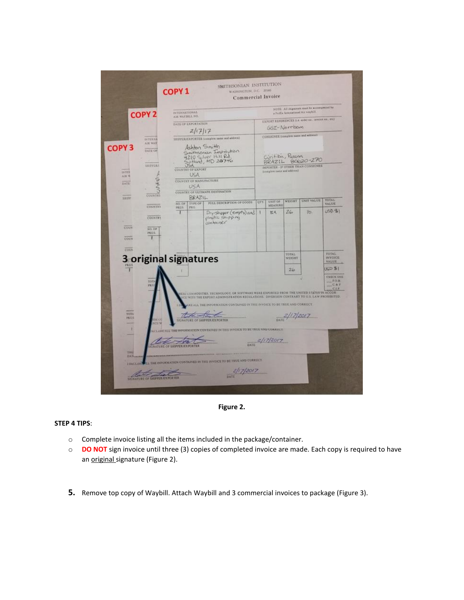

**Figure 2.** 

#### **STEP 4 TIPS**:

- o Complete invoice listing all the items included in the package/container.
- o **DO NOT** sign invoice until three (3) copies of completed invoice are made. Each copy is required to have an original signature (Figure 2).
- **5.** Remove top copy of Waybill. Attach Waybill and 3 commercial invoices to package (Figure 3).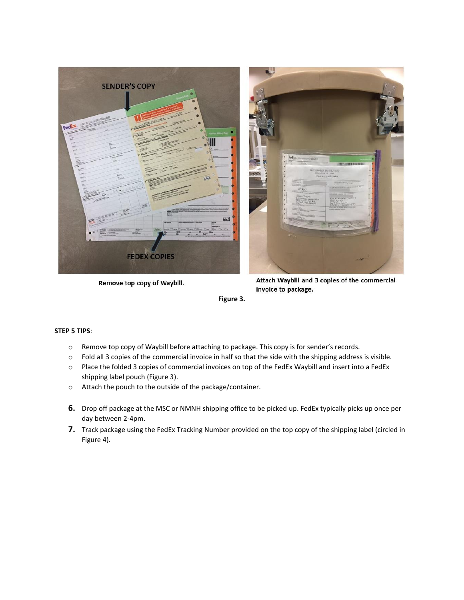





#### **STEP 5 TIPS**:

- o Remove top copy of Waybill before attaching to package. This copy is for sender's records.
- o Fold all 3 copies of the commercial invoice in half so that the side with the shipping address is visible.
- o Place the folded 3 copies of commercial invoices on top of the FedEx Waybill and insert into a FedEx shipping label pouch (Figure 3).
- o Attach the pouch to the outside of the package/container.
- **6.** Drop off package at the MSC or NMNH shipping office to be picked up. FedEx typically picks up once per day between 2-4pm.
- **7.** Track package using the FedEx Tracking Number provided on the top copy of the shipping label (circled in Figure 4).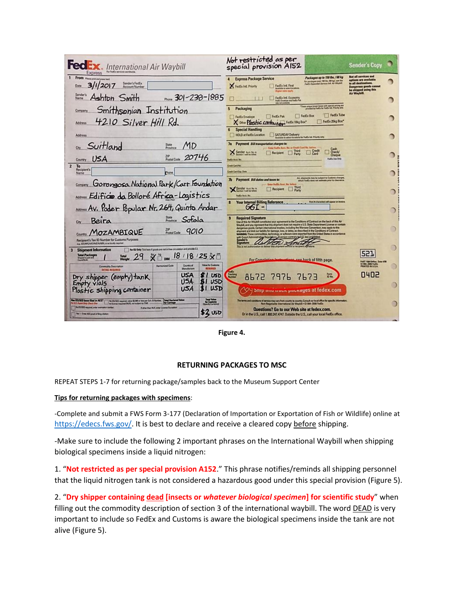| <b>FedEx</b> . International Air Waybill<br>Express                                                                                                                                                                                                                                                                                                                                                                                                                               | Not restricted as per<br>special provision AI52                                                                                                                                                                                                                                                                                                                                                                                                                                                                                                                                                                                                      | <b>Sender's Copy</b>                                                                                                                            |  |
|-----------------------------------------------------------------------------------------------------------------------------------------------------------------------------------------------------------------------------------------------------------------------------------------------------------------------------------------------------------------------------------------------------------------------------------------------------------------------------------|------------------------------------------------------------------------------------------------------------------------------------------------------------------------------------------------------------------------------------------------------------------------------------------------------------------------------------------------------------------------------------------------------------------------------------------------------------------------------------------------------------------------------------------------------------------------------------------------------------------------------------------------------|-------------------------------------------------------------------------------------------------------------------------------------------------|--|
| From rease prices and press hard<br>Sender's FedEx<br>2017<br>Date<br><b>Account Number</b>                                                                                                                                                                                                                                                                                                                                                                                       | Packages up to 150 lbs. / 68 kg<br><b>Express Package Service</b><br>For packages over 198 lbs. 198 kgl. use the<br>Facts Consolar Sarvers bill. Air Weybill<br>FedEx Ind. Priority<br>FedEx Ind. First<br>utable to select ancelone<br><b>Lear contine manufacturers</b>                                                                                                                                                                                                                                                                                                                                                                            | Not all services and<br>options are available<br>to all destinations.<br><b>Dangerous goods cannot</b><br>be shipped using this<br>Air Waybill. |  |
| Sender's<br>Ashton Smith<br>Phone 301-238-1885<br>Name                                                                                                                                                                                                                                                                                                                                                                                                                            | FedEx Ind. Economy<br>FedEx Investor and FedEx Feb<br>not not seekable                                                                                                                                                                                                                                                                                                                                                                                                                                                                                                                                                                               |                                                                                                                                                 |  |
| Smithsonian Institution<br>Company<br>4210 Silver Hill Rd.<br>Address                                                                                                                                                                                                                                                                                                                                                                                                             | These ampos brown boses with special pricing are<br>provided by FadEx for FedEx httl. Precity sees<br>Packaging<br>FedEx Tube<br>FedEx Box<br>FedEx Pak<br>FedEx Envelope<br>FedEx 25kg Box*<br>X Other Plastic contemplate Feder 10kg Box"                                                                                                                                                                                                                                                                                                                                                                                                          |                                                                                                                                                 |  |
| Address                                                                                                                                                                                                                                                                                                                                                                                                                                                                           | <b>Special Handling</b><br>HOLD at FedEx Location<br>SATURDAY Delivery<br>Antiquia to salest locations for FedEx lett. Priority priv                                                                                                                                                                                                                                                                                                                                                                                                                                                                                                                 |                                                                                                                                                 |  |
| Cay Suitland<br>MD<br>State<br>Province<br>20746<br>ZIP<br>Postal Code<br>Country USA                                                                                                                                                                                                                                                                                                                                                                                             | 7a Paymont Bill transportation charges to:<br>- Estar Fedlix Acrs, No. ar Credit Card No. belove<br>Cash<br>Check/<br>Cheque<br>Credit<br>Third<br>Sender Aug No. H<br>Recipient<br>$\Box$ Card<br>Party<br>FedEx Use Dray<br>FedEx Acct. No                                                                                                                                                                                                                                                                                                                                                                                                         |                                                                                                                                                 |  |
| $\overline{2}$<br>To<br><b>Recipient's</b><br>Name                                                                                                                                                                                                                                                                                                                                                                                                                                | <b>Credit Card No.</b><br>Credit Card Exp. Date                                                                                                                                                                                                                                                                                                                                                                                                                                                                                                                                                                                                      |                                                                                                                                                 |  |
| Gorongosa National Park/Carr Foundation<br>Address Edificito da Bolloré Africa-Logistics                                                                                                                                                                                                                                                                                                                                                                                          | ALL shipments may be subject to Customs charges,<br>which FedEx does not sellmate pror to clearence.<br>7b Payment Bill duties and taxes to:<br>- Beton PodEx Acad. No. bohos<br>Third<br>Sender Ave. No.<br>Recipient<br>Party<br>Failty Acct. N                                                                                                                                                                                                                                                                                                                                                                                                    |                                                                                                                                                 |  |
| Assess Av. Poder Popular Nr. 264, Quinto Andar                                                                                                                                                                                                                                                                                                                                                                                                                                    | <b>Your Internal Billing Reference</b><br>Fest 26 characters will go<br>$G6I -$                                                                                                                                                                                                                                                                                                                                                                                                                                                                                                                                                                      |                                                                                                                                                 |  |
| State Sofolo<br>Beira<br>City<br>ZIP<br>Postal Code<br>9010<br>MOZAMBIQUE<br>Recipient's Tax ID Number for Customs Purposes<br>a.g. GST/RFC/UKT/IN/ETV/ABN, or as locally required                                                                                                                                                                                                                                                                                                | <b>Required Signature</b><br>Use of this Air Waybill constitutes your agreement to the Conditions of Contract on the back of this Air<br>Waybill, and you represent that this shipment does not require a U.S. State Department License or contain<br>denoemus goods. Certain international treaties, including the Warsaw Convention, may apply to this<br>ert and limit our liability for damage, loss, or delay, as described in the Conditions of Contract.<br>this These commodities, tachnology, or schware were exported from the United States in accordance<br>Diversion contrary to U.S. law prob<br>Sender's Administration of The Age of |                                                                                                                                                 |  |
| For EU Only: Tick have if goods are not in free circulation and provide C.L.<br><b>Shipment Information</b><br>$\overline{\mathbf{3}}$<br>$18/18/25 \times 10^{-10}$<br><b>Total Packages</b><br><b>Total</b><br>DIM<br>Shipper's Load an<br>Count/SLAC                                                                                                                                                                                                                           | For Completion Instructions, see back of fifth page.                                                                                                                                                                                                                                                                                                                                                                                                                                                                                                                                                                                                 | 521                                                                                                                                             |  |
| <b>Value for Customs</b><br>Country of<br><b>Harmonized Code</b><br>Commodity Description<br><b>Manufacture</b><br><b>BONNETO</b><br><b>DETAIL REQUIRED</b>                                                                                                                                                                                                                                                                                                                       |                                                                                                                                                                                                                                                                                                                                                                                                                                                                                                                                                                                                                                                      | FART VANTORING Deta 408<br>GYMN-2006 FedEx<br>FRINTED IN U.S.A.                                                                                 |  |
| USA<br>sτ<br>USD<br>Dry shipper (empty) tank<br>U <sub>5A</sub><br>31<br>USD<br>Empty vials<br>USD<br>U <sub>5</sub> A<br>31<br>Plastic shipping container                                                                                                                                                                                                                                                                                                                        | Tracking<br>Form.<br>10 No.<br>8672<br>7976 7673<br>Ship and down packages at fedex.com                                                                                                                                                                                                                                                                                                                                                                                                                                                                                                                                                              | 0402                                                                                                                                            |  |
| Tetal Value<br>for Captures<br><b>Total Declared Volum</b><br>for Carriage<br><b>Not ES/SED been filed in AEST</b> No EES/SE required value \$2,500 or less per Sch. 8 Norther.<br>For U.S. Coper Suite Classi dier Not Local required PAFA out subject to ISAR.<br>no license required (NLR), our subject to (TAR)<br>TWO EDITED required, artist assemption number<br>Futur than N.R. erter License Exception<br><b>52 USD</b><br><b>New - Enter ACS proof of Ning citation</b> | The terms and conditions of service may vary from country to country. Consult our local office for specific information.<br>Non-Negotiable International Air Waybill . 01994-2008 FedEx<br>Questions? Go to our Web site at fedex.com.<br>Or in the U.S., call 1.800.247.4747. Outside the U.S., call your local FedEx office.                                                                                                                                                                                                                                                                                                                       |                                                                                                                                                 |  |

Figure 4.

### **RETURNING PACKAGES TO MSC**

REPEAT STEPS 1-7 for returning package/samples back to the Museum Support Center

#### Tips for returning packages with specimens:

-Complete and submit a FWS Form 3-177 (Declaration of Importation or Exportation of Fish or Wildlife) online at https://edecs.fws.gov/. It is best to declare and receive a cleared copy before shipping.

-Make sure to include the following 2 important phrases on the International Waybill when shipping biological specimens inside a liquid nitrogen:

1. "Not restricted as per special provision A152." This phrase notifies/reminds all shipping personnel that the liquid nitrogen tank is not considered a hazardous good under this special provision (Figure 5).

2. "Dry shipper containing dead [insects or whatever biological specimen] for scientific study" when filling out the commodity description of section 3 of the international waybill. The word DEAD is very important to include so FedEx and Customs is aware the biological specimens inside the tank are not alive (Figure 5).